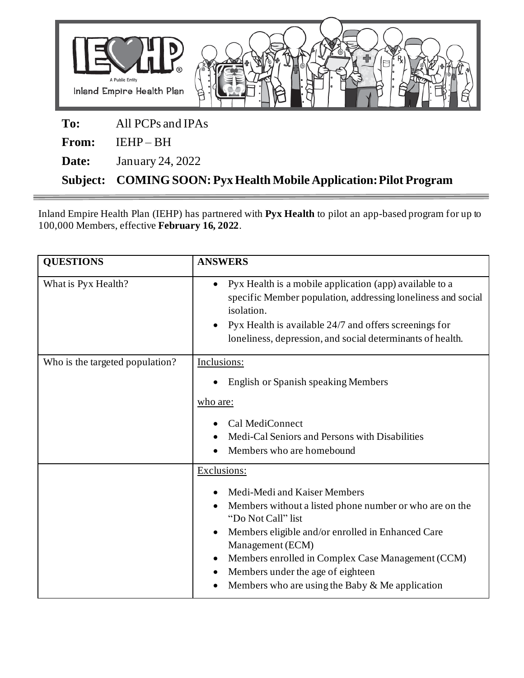

**Subject: COMING SOON: Pyx Health Mobile Application: Pilot Program**

 $\equiv$ 

Inland Empire Health Plan (IEHP) has partnered with **Pyx Health** to pilot an app-based program for up to 100,000 Members, effective **February 16, 2022**.

| <b>QUESTIONS</b>                | <b>ANSWERS</b>                                                                                                                                                                                                                                                                                                                                                    |
|---------------------------------|-------------------------------------------------------------------------------------------------------------------------------------------------------------------------------------------------------------------------------------------------------------------------------------------------------------------------------------------------------------------|
| What is Pyx Health?             | Pyx Health is a mobile application (app) available to a<br>$\bullet$<br>specific Member population, addressing loneliness and social<br>isolation.<br>Pyx Health is available 24/7 and offers screenings for<br>loneliness, depression, and social determinants of health.                                                                                        |
| Who is the targeted population? | Inclusions:<br>English or Spanish speaking Members<br>who are:<br>Cal MediConnect<br>Medi-Cal Seniors and Persons with Disabilities<br>Members who are homebound                                                                                                                                                                                                  |
|                                 | Exclusions:<br>Medi-Medi and Kaiser Members<br>Members without a listed phone number or who are on the<br>"Do Not Call" list<br>Members eligible and/or enrolled in Enhanced Care<br>$\bullet$<br>Management (ECM)<br>Members enrolled in Complex Case Management (CCM)<br>Members under the age of eighteen<br>Members who are using the Baby $&$ Me application |